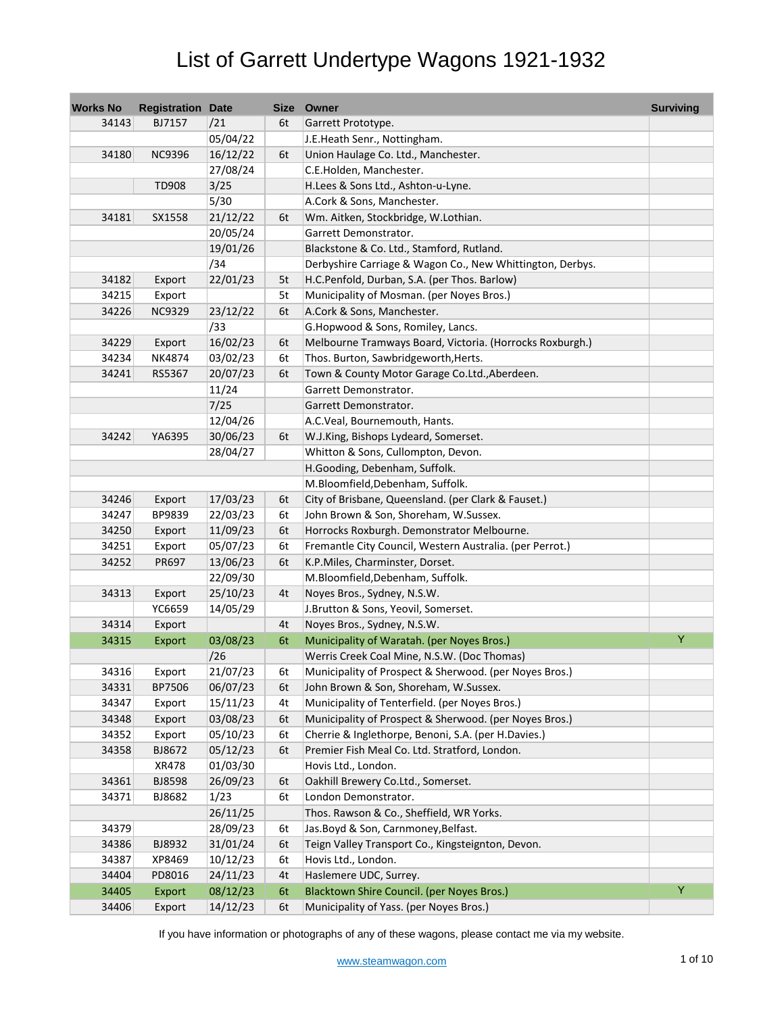| <b>Works No</b> | <b>Registration Date</b> |          |    | Size Owner                                                | <b>Surviving</b> |
|-----------------|--------------------------|----------|----|-----------------------------------------------------------|------------------|
| 34143           | BJ7157                   | /21      | 6t | Garrett Prototype.                                        |                  |
|                 |                          | 05/04/22 |    | J.E.Heath Senr., Nottingham.                              |                  |
| 34180           | <b>NC9396</b>            | 16/12/22 | 6t | Union Haulage Co. Ltd., Manchester.                       |                  |
|                 |                          | 27/08/24 |    | C.E.Holden, Manchester.                                   |                  |
|                 | <b>TD908</b>             | 3/25     |    | H.Lees & Sons Ltd., Ashton-u-Lyne.                        |                  |
|                 |                          | 5/30     |    | A.Cork & Sons, Manchester.                                |                  |
| 34181           | SX1558                   | 21/12/22 | 6t | Wm. Aitken, Stockbridge, W.Lothian.                       |                  |
|                 |                          | 20/05/24 |    | Garrett Demonstrator.                                     |                  |
|                 |                          | 19/01/26 |    | Blackstone & Co. Ltd., Stamford, Rutland.                 |                  |
|                 |                          | /34      |    | Derbyshire Carriage & Wagon Co., New Whittington, Derbys. |                  |
| 34182           | Export                   | 22/01/23 | 5t | H.C.Penfold, Durban, S.A. (per Thos. Barlow)              |                  |
| 34215           | Export                   |          | 5t | Municipality of Mosman. (per Noyes Bros.)                 |                  |
| 34226           | <b>NC9329</b>            | 23/12/22 | 6t | A.Cork & Sons, Manchester.                                |                  |
|                 |                          | /33      |    | G.Hopwood & Sons, Romiley, Lancs.                         |                  |
| 34229           | Export                   | 16/02/23 | 6t | Melbourne Tramways Board, Victoria. (Horrocks Roxburgh.)  |                  |
| 34234           | NK4874                   | 03/02/23 | 6t | Thos. Burton, Sawbridgeworth, Herts.                      |                  |
| 34241           | RS5367                   | 20/07/23 | 6t | Town & County Motor Garage Co.Ltd., Aberdeen.             |                  |
|                 |                          | 11/24    |    | Garrett Demonstrator.                                     |                  |
|                 |                          | 7/25     |    | Garrett Demonstrator.                                     |                  |
|                 |                          | 12/04/26 |    | A.C.Veal, Bournemouth, Hants.                             |                  |
| 34242           | YA6395                   | 30/06/23 | 6t | W.J.King, Bishops Lydeard, Somerset.                      |                  |
|                 |                          | 28/04/27 |    | Whitton & Sons, Cullompton, Devon.                        |                  |
|                 |                          |          |    | H.Gooding, Debenham, Suffolk.                             |                  |
|                 |                          |          |    | M.Bloomfield, Debenham, Suffolk.                          |                  |
| 34246           | Export                   | 17/03/23 | 6t | City of Brisbane, Queensland. (per Clark & Fauset.)       |                  |
| 34247           | BP9839                   | 22/03/23 | 6t | John Brown & Son, Shoreham, W.Sussex.                     |                  |
| 34250           | Export                   | 11/09/23 | 6t | Horrocks Roxburgh. Demonstrator Melbourne.                |                  |
| 34251           | Export                   | 05/07/23 | 6t | Fremantle City Council, Western Australia. (per Perrot.)  |                  |
| 34252           | PR697                    | 13/06/23 | 6t | K.P.Miles, Charminster, Dorset.                           |                  |
|                 |                          | 22/09/30 |    | M.Bloomfield, Debenham, Suffolk.                          |                  |
| 34313           | Export                   | 25/10/23 | 4t | Noyes Bros., Sydney, N.S.W.                               |                  |
|                 | YC6659                   | 14/05/29 |    | J.Brutton & Sons, Yeovil, Somerset.                       |                  |
| 34314           | Export                   |          | 4t | Noyes Bros., Sydney, N.S.W.                               |                  |
| 34315           | Export                   | 03/08/23 | 6t | Municipality of Waratah. (per Noyes Bros.)                | Ÿ                |
|                 |                          | /26      |    | Werris Creek Coal Mine, N.S.W. (Doc Thomas)               |                  |
| 34316           | Export                   | 21/07/23 | 6t | Municipality of Prospect & Sherwood. (per Noyes Bros.)    |                  |
| 34331           | BP7506                   | 06/07/23 | 6t | John Brown & Son, Shoreham, W.Sussex.                     |                  |
| 34347           | Export                   | 15/11/23 | 4t | Municipality of Tenterfield. (per Noyes Bros.)            |                  |
| 34348           | Export                   | 03/08/23 | 6t | Municipality of Prospect & Sherwood. (per Noyes Bros.)    |                  |
| 34352           | Export                   | 05/10/23 | 6t | Cherrie & Inglethorpe, Benoni, S.A. (per H.Davies.)       |                  |
| 34358           | BJ8672                   | 05/12/23 | 6t | Premier Fish Meal Co. Ltd. Stratford, London.             |                  |
|                 | XR478                    | 01/03/30 |    | Hovis Ltd., London.                                       |                  |
| 34361           | BJ8598                   | 26/09/23 | 6t | Oakhill Brewery Co.Ltd., Somerset.                        |                  |
| 34371           | BJ8682                   | 1/23     | 6t | London Demonstrator.                                      |                  |
|                 |                          | 26/11/25 |    | Thos. Rawson & Co., Sheffield, WR Yorks.                  |                  |
| 34379           |                          | 28/09/23 | 6t | Jas.Boyd & Son, Carnmoney, Belfast.                       |                  |
| 34386           | BJ8932                   | 31/01/24 | 6t | Teign Valley Transport Co., Kingsteignton, Devon.         |                  |
| 34387           | XP8469                   | 10/12/23 | 6t | Hovis Ltd., London.                                       |                  |
| 34404           | PD8016                   | 24/11/23 | 4t | Haslemere UDC, Surrey.                                    |                  |
| 34405           | Export                   | 08/12/23 | 6t | Blacktown Shire Council. (per Noyes Bros.)                | Y                |
| 34406           | Export                   | 14/12/23 | 6t | Municipality of Yass. (per Noyes Bros.)                   |                  |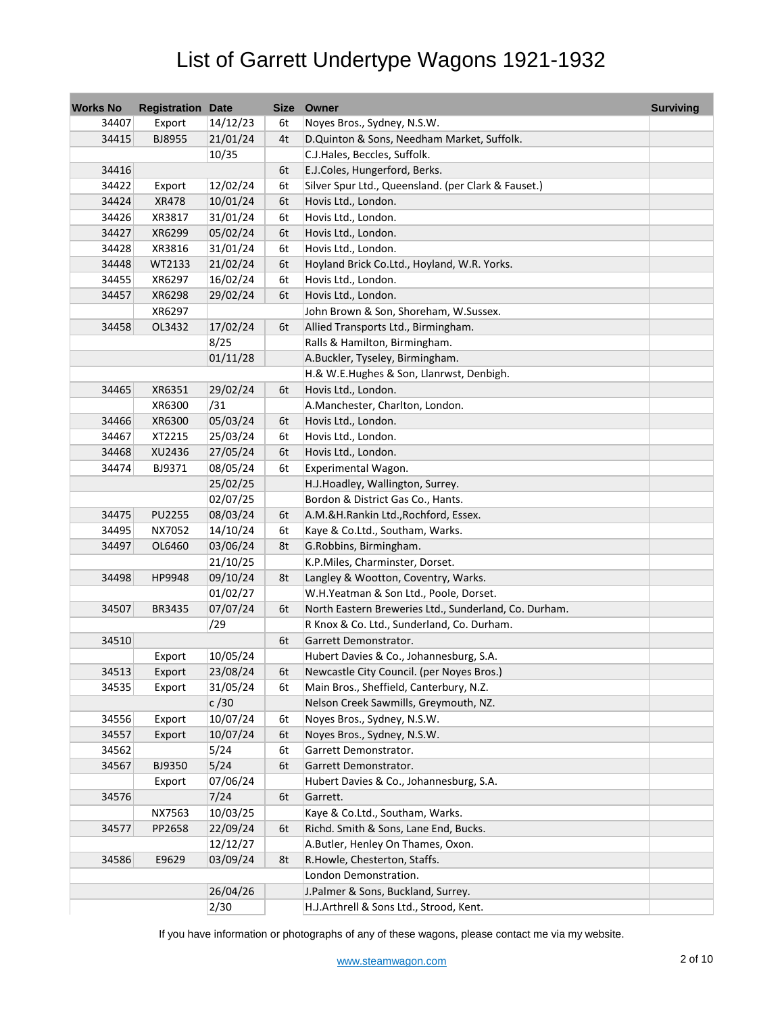| <b>Works No</b> | <b>Registration Date</b> |          | Size | Owner                                                 | <b>Surviving</b> |
|-----------------|--------------------------|----------|------|-------------------------------------------------------|------------------|
| 34407           | Export                   | 14/12/23 | 6t   | Noyes Bros., Sydney, N.S.W.                           |                  |
| 34415           | BJ8955                   | 21/01/24 | 4t   | D.Quinton & Sons, Needham Market, Suffolk.            |                  |
|                 |                          | 10/35    |      | C.J.Hales, Beccles, Suffolk.                          |                  |
| 34416           |                          |          | 6t   | E.J.Coles, Hungerford, Berks.                         |                  |
| 34422           | Export                   | 12/02/24 | 6t   | Silver Spur Ltd., Queensland. (per Clark & Fauset.)   |                  |
| 34424           | XR478                    | 10/01/24 | 6t   | Hovis Ltd., London.                                   |                  |
| 34426           | XR3817                   | 31/01/24 | 6t   | Hovis Ltd., London.                                   |                  |
| 34427           | XR6299                   | 05/02/24 | 6t   | Hovis Ltd., London.                                   |                  |
| 34428           | XR3816                   | 31/01/24 | 6t   | Hovis Ltd., London.                                   |                  |
| 34448           | WT2133                   | 21/02/24 | 6t   | Hoyland Brick Co.Ltd., Hoyland, W.R. Yorks.           |                  |
| 34455           | XR6297                   | 16/02/24 | 6t   | Hovis Ltd., London.                                   |                  |
| 34457           | XR6298                   | 29/02/24 | 6t   | Hovis Ltd., London.                                   |                  |
|                 | XR6297                   |          |      | John Brown & Son, Shoreham, W.Sussex.                 |                  |
| 34458           | OL3432                   | 17/02/24 | 6t   | Allied Transports Ltd., Birmingham.                   |                  |
|                 |                          | 8/25     |      | Ralls & Hamilton, Birmingham.                         |                  |
|                 |                          | 01/11/28 |      | A.Buckler, Tyseley, Birmingham.                       |                  |
|                 |                          |          |      | H.& W.E.Hughes & Son, Llanrwst, Denbigh.              |                  |
| 34465           | XR6351                   | 29/02/24 | 6t   | Hovis Ltd., London.                                   |                  |
|                 | XR6300                   | /31      |      | A.Manchester, Charlton, London.                       |                  |
| 34466           | XR6300                   | 05/03/24 | 6t   | Hovis Ltd., London.                                   |                  |
| 34467           | XT2215                   | 25/03/24 | 6t   | Hovis Ltd., London.                                   |                  |
| 34468           | XU2436                   | 27/05/24 | 6t   | Hovis Ltd., London.                                   |                  |
| 34474           | BJ9371                   | 08/05/24 | 6t   | Experimental Wagon.                                   |                  |
|                 |                          | 25/02/25 |      | H.J.Hoadley, Wallington, Surrey.                      |                  |
|                 |                          | 02/07/25 |      | Bordon & District Gas Co., Hants.                     |                  |
| 34475           | PU2255                   | 08/03/24 | 6t   | A.M.&H.Rankin Ltd., Rochford, Essex.                  |                  |
| 34495           | NX7052                   | 14/10/24 | 6t   | Kaye & Co.Ltd., Southam, Warks.                       |                  |
| 34497           | OL6460                   | 03/06/24 | 8t   | G.Robbins, Birmingham.                                |                  |
|                 |                          | 21/10/25 |      | K.P.Miles, Charminster, Dorset.                       |                  |
| 34498           | HP9948                   | 09/10/24 | 8t   | Langley & Wootton, Coventry, Warks.                   |                  |
|                 |                          | 01/02/27 |      | W.H.Yeatman & Son Ltd., Poole, Dorset.                |                  |
| 34507           | BR3435                   | 07/07/24 | 6t   | North Eastern Breweries Ltd., Sunderland, Co. Durham. |                  |
|                 |                          | /29      |      | R Knox & Co. Ltd., Sunderland, Co. Durham.            |                  |
| 34510           |                          |          | 6t   | Garrett Demonstrator.                                 |                  |
|                 | Export                   | 10/05/24 |      | Hubert Davies & Co., Johannesburg, S.A.               |                  |
| 34513           | Export                   | 23/08/24 | 6t   | Newcastle City Council. (per Noyes Bros.)             |                  |
| 34535           | Export                   | 31/05/24 | 6t   | Main Bros., Sheffield, Canterbury, N.Z.               |                  |
|                 |                          | c/30     |      | Nelson Creek Sawmills, Greymouth, NZ.                 |                  |
| 34556           | Export                   | 10/07/24 | 6t   | Noyes Bros., Sydney, N.S.W.                           |                  |
| 34557           | Export                   | 10/07/24 | 6t   | Noyes Bros., Sydney, N.S.W.                           |                  |
| 34562           |                          | 5/24     | 6t   | Garrett Demonstrator.                                 |                  |
| 34567           | BJ9350                   | 5/24     | 6t   | Garrett Demonstrator.                                 |                  |
|                 | Export                   | 07/06/24 |      | Hubert Davies & Co., Johannesburg, S.A.               |                  |
| 34576           |                          | 7/24     | 6t   | Garrett.                                              |                  |
|                 | NX7563                   | 10/03/25 |      | Kaye & Co.Ltd., Southam, Warks.                       |                  |
| 34577           | PP2658                   | 22/09/24 | 6t   | Richd. Smith & Sons, Lane End, Bucks.                 |                  |
|                 |                          | 12/12/27 |      | A.Butler, Henley On Thames, Oxon.                     |                  |
| 34586           | E9629                    | 03/09/24 | 8t   | R.Howle, Chesterton, Staffs.                          |                  |
|                 |                          |          |      | London Demonstration.                                 |                  |
|                 |                          | 26/04/26 |      | J.Palmer & Sons, Buckland, Surrey.                    |                  |
|                 |                          | 2/30     |      | H.J.Arthrell & Sons Ltd., Strood, Kent.               |                  |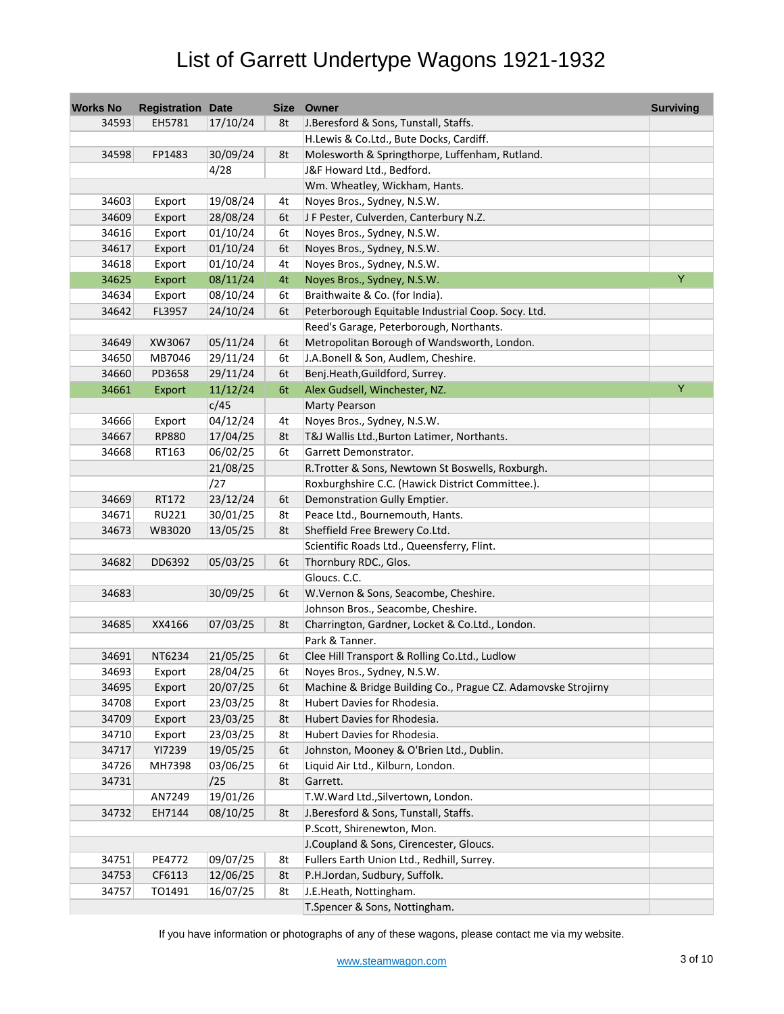| <b>Works No</b> | <b>Registration Date</b> |          |    | Size Owner                                                    | <b>Surviving</b> |
|-----------------|--------------------------|----------|----|---------------------------------------------------------------|------------------|
| 34593           | EH5781                   | 17/10/24 | 8t | J. Beresford & Sons, Tunstall, Staffs.                        |                  |
|                 |                          |          |    | H.Lewis & Co.Ltd., Bute Docks, Cardiff.                       |                  |
| 34598           | FP1483                   | 30/09/24 | 8t | Molesworth & Springthorpe, Luffenham, Rutland.                |                  |
|                 |                          | 4/28     |    | J&F Howard Ltd., Bedford.                                     |                  |
|                 |                          |          |    | Wm. Wheatley, Wickham, Hants.                                 |                  |
| 34603           | Export                   | 19/08/24 | 4t | Noyes Bros., Sydney, N.S.W.                                   |                  |
| 34609           | Export                   | 28/08/24 | 6t | J F Pester, Culverden, Canterbury N.Z.                        |                  |
| 34616           | Export                   | 01/10/24 | 6t | Noyes Bros., Sydney, N.S.W.                                   |                  |
| 34617           | Export                   | 01/10/24 | 6t | Noyes Bros., Sydney, N.S.W.                                   |                  |
| 34618           | Export                   | 01/10/24 | 4t | Noyes Bros., Sydney, N.S.W.                                   |                  |
| 34625           | Export                   | 08/11/24 | 4t | Noyes Bros., Sydney, N.S.W.                                   | Y                |
| 34634           | Export                   | 08/10/24 | 6t | Braithwaite & Co. (for India).                                |                  |
| 34642           | FL3957                   | 24/10/24 | 6t | Peterborough Equitable Industrial Coop. Socy. Ltd.            |                  |
|                 |                          |          |    | Reed's Garage, Peterborough, Northants.                       |                  |
| 34649           | XW3067                   | 05/11/24 | 6t | Metropolitan Borough of Wandsworth, London.                   |                  |
| 34650           | MB7046                   | 29/11/24 | 6t | J.A.Bonell & Son, Audlem, Cheshire.                           |                  |
| 34660           | PD3658                   | 29/11/24 | 6t | Benj.Heath, Guildford, Surrey.                                |                  |
| 34661           | Export                   | 11/12/24 | 6t | Alex Gudsell, Winchester, NZ.                                 | Ÿ                |
|                 |                          | c/45     |    | <b>Marty Pearson</b>                                          |                  |
| 34666           | Export                   | 04/12/24 | 4t | Noyes Bros., Sydney, N.S.W.                                   |                  |
| 34667           | <b>RP880</b>             | 17/04/25 | 8t | T&J Wallis Ltd., Burton Latimer, Northants.                   |                  |
| 34668           | RT163                    | 06/02/25 | 6t | Garrett Demonstrator.                                         |                  |
|                 |                          | 21/08/25 |    | R.Trotter & Sons, Newtown St Boswells, Roxburgh.              |                  |
|                 |                          | /27      |    | Roxburghshire C.C. (Hawick District Committee.).              |                  |
| 34669           | RT172                    | 23/12/24 | 6t | Demonstration Gully Emptier.                                  |                  |
| 34671           | <b>RU221</b>             | 30/01/25 | 8t | Peace Ltd., Bournemouth, Hants.                               |                  |
| 34673           | WB3020                   | 13/05/25 | 8t | Sheffield Free Brewery Co.Ltd.                                |                  |
|                 |                          |          |    | Scientific Roads Ltd., Queensferry, Flint.                    |                  |
| 34682           | DD6392                   | 05/03/25 | 6t | Thornbury RDC., Glos.                                         |                  |
|                 |                          |          |    | Gloucs. C.C.                                                  |                  |
| 34683           |                          | 30/09/25 | 6t | W.Vernon & Sons, Seacombe, Cheshire.                          |                  |
|                 |                          |          |    | Johnson Bros., Seacombe, Cheshire.                            |                  |
| 34685           | XX4166                   | 07/03/25 | 8t | Charrington, Gardner, Locket & Co.Ltd., London.               |                  |
|                 |                          |          |    | Park & Tanner.                                                |                  |
| 34691           | NT6234                   | 21/05/25 | 6t | Clee Hill Transport & Rolling Co.Ltd., Ludlow                 |                  |
| 34693           | Export                   | 28/04/25 | 6t | Noyes Bros., Sydney, N.S.W.                                   |                  |
| 34695           | Export                   | 20/07/25 | 6t | Machine & Bridge Building Co., Prague CZ. Adamovske Strojirny |                  |
| 34708           | Export                   | 23/03/25 | 8t | Hubert Davies for Rhodesia.                                   |                  |
| 34709           | Export                   | 23/03/25 | 8t | Hubert Davies for Rhodesia.                                   |                  |
| 34710           | Export                   | 23/03/25 | 8t | Hubert Davies for Rhodesia.                                   |                  |
| 34717           | YI7239                   | 19/05/25 | 6t | Johnston, Mooney & O'Brien Ltd., Dublin.                      |                  |
| 34726           | MH7398                   | 03/06/25 | 6t | Liquid Air Ltd., Kilburn, London.                             |                  |
| 34731           |                          | /25      | 8t | Garrett.                                                      |                  |
|                 | AN7249                   | 19/01/26 |    | T.W.Ward Ltd., Silvertown, London.                            |                  |
| 34732           | EH7144                   | 08/10/25 | 8t | J.Beresford & Sons, Tunstall, Staffs.                         |                  |
|                 |                          |          |    | P.Scott, Shirenewton, Mon.                                    |                  |
|                 |                          |          |    | J.Coupland & Sons, Cirencester, Gloucs.                       |                  |
| 34751           | PE4772                   | 09/07/25 | 8t | Fullers Earth Union Ltd., Redhill, Surrey.                    |                  |
| 34753           | CF6113                   | 12/06/25 | 8t | P.H.Jordan, Sudbury, Suffolk.                                 |                  |
| 34757           | TO1491                   | 16/07/25 | 8t | J.E.Heath, Nottingham.                                        |                  |
|                 |                          |          |    | T.Spencer & Sons, Nottingham.                                 |                  |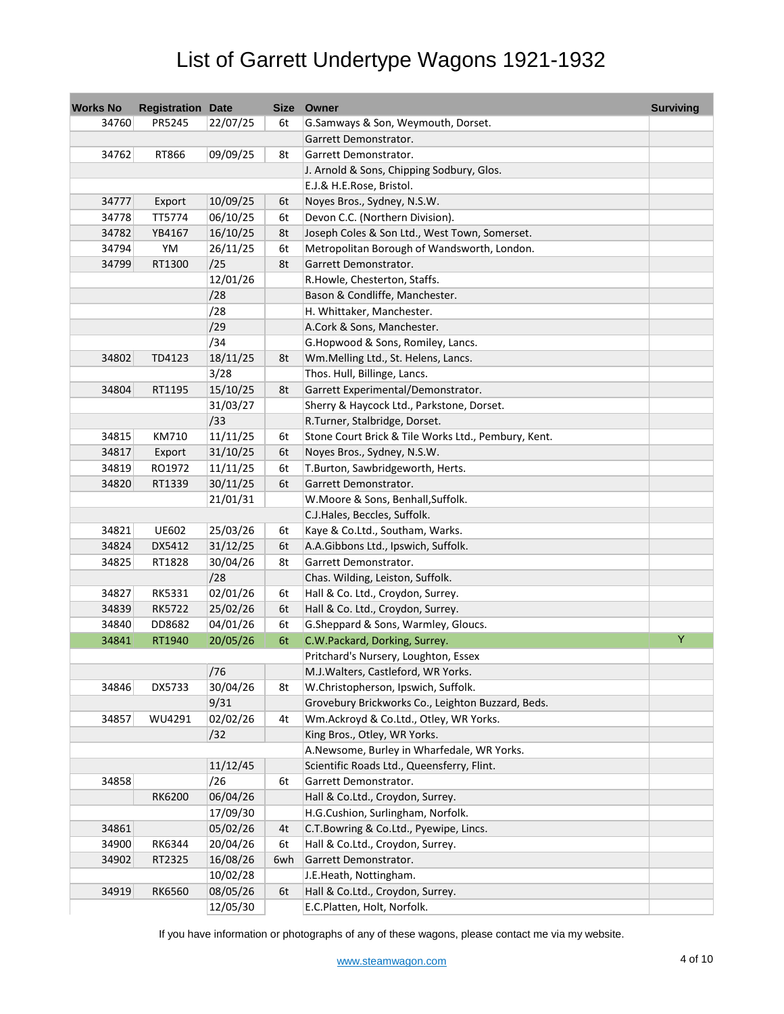| <b>Works No</b> | <b>Registration Date</b> |          |     | Size Owner                                          | <b>Surviving</b> |
|-----------------|--------------------------|----------|-----|-----------------------------------------------------|------------------|
| 34760           | PR5245                   | 22/07/25 | 6t  | G.Samways & Son, Weymouth, Dorset.                  |                  |
|                 |                          |          |     | Garrett Demonstrator.                               |                  |
| 34762           | RT866                    | 09/09/25 | 8t  | Garrett Demonstrator.                               |                  |
|                 |                          |          |     | J. Arnold & Sons, Chipping Sodbury, Glos.           |                  |
|                 |                          |          |     | E.J.& H.E.Rose, Bristol.                            |                  |
| 34777           | Export                   | 10/09/25 | 6t  | Noyes Bros., Sydney, N.S.W.                         |                  |
| 34778           | TT5774                   | 06/10/25 | 6t  | Devon C.C. (Northern Division).                     |                  |
| 34782           | YB4167                   | 16/10/25 | 8t  | Joseph Coles & Son Ltd., West Town, Somerset.       |                  |
| 34794           | YM                       | 26/11/25 | 6t  | Metropolitan Borough of Wandsworth, London.         |                  |
| 34799           | RT1300                   | /25      | 8t  | Garrett Demonstrator.                               |                  |
|                 |                          | 12/01/26 |     | R.Howle, Chesterton, Staffs.                        |                  |
|                 |                          | /28      |     | Bason & Condliffe, Manchester.                      |                  |
|                 |                          | /28      |     | H. Whittaker, Manchester.                           |                  |
|                 |                          | /29      |     | A.Cork & Sons, Manchester.                          |                  |
|                 |                          | /34      |     | G.Hopwood & Sons, Romiley, Lancs.                   |                  |
| 34802           | TD4123                   | 18/11/25 | 8t  | Wm.Melling Ltd., St. Helens, Lancs.                 |                  |
|                 |                          | 3/28     |     | Thos. Hull, Billinge, Lancs.                        |                  |
| 34804           | RT1195                   | 15/10/25 | 8t  | Garrett Experimental/Demonstrator.                  |                  |
|                 |                          | 31/03/27 |     | Sherry & Haycock Ltd., Parkstone, Dorset.           |                  |
|                 |                          | /33      |     | R.Turner, Stalbridge, Dorset.                       |                  |
| 34815           | KM710                    | 11/11/25 | 6t  | Stone Court Brick & Tile Works Ltd., Pembury, Kent. |                  |
| 34817           | Export                   | 31/10/25 | 6t  | Noyes Bros., Sydney, N.S.W.                         |                  |
| 34819           | RO1972                   | 11/11/25 | 6t  | T.Burton, Sawbridgeworth, Herts.                    |                  |
| 34820           | RT1339                   | 30/11/25 | 6t  | Garrett Demonstrator.                               |                  |
|                 |                          | 21/01/31 |     | W.Moore & Sons, Benhall, Suffolk.                   |                  |
|                 |                          |          |     | C.J.Hales, Beccles, Suffolk.                        |                  |
| 34821           | <b>UE602</b>             | 25/03/26 | 6t  | Kaye & Co.Ltd., Southam, Warks.                     |                  |
| 34824           | DX5412                   | 31/12/25 | 6t  | A.A.Gibbons Ltd., Ipswich, Suffolk.                 |                  |
| 34825           | RT1828                   | 30/04/26 | 8t  | Garrett Demonstrator.                               |                  |
|                 |                          | /28      |     | Chas. Wilding, Leiston, Suffolk.                    |                  |
| 34827           | RK5331                   | 02/01/26 | 6t  | Hall & Co. Ltd., Croydon, Surrey.                   |                  |
| 34839           | <b>RK5722</b>            | 25/02/26 | 6t  | Hall & Co. Ltd., Croydon, Surrey.                   |                  |
| 34840           | DD8682                   | 04/01/26 | 6t  | G.Sheppard & Sons, Warmley, Gloucs.                 |                  |
| 34841           | RT1940                   | 20/05/26 | 6t  | C.W.Packard, Dorking, Surrey.                       | Y                |
|                 |                          |          |     | Pritchard's Nursery, Loughton, Essex                |                  |
|                 |                          | /76      |     | M.J. Walters, Castleford, WR Yorks.                 |                  |
| 34846           | DX5733                   | 30/04/26 | 8t  | W.Christopherson, Ipswich, Suffolk.                 |                  |
|                 |                          | 9/31     |     | Grovebury Brickworks Co., Leighton Buzzard, Beds.   |                  |
| 34857           | WU4291                   | 02/02/26 | 4t  | Wm.Ackroyd & Co.Ltd., Otley, WR Yorks.              |                  |
|                 |                          | /32      |     | King Bros., Otley, WR Yorks.                        |                  |
|                 |                          |          |     | A.Newsome, Burley in Wharfedale, WR Yorks.          |                  |
|                 |                          | 11/12/45 |     | Scientific Roads Ltd., Queensferry, Flint.          |                  |
| 34858           |                          | /26      | 6t  | Garrett Demonstrator.                               |                  |
|                 | RK6200                   | 06/04/26 |     | Hall & Co.Ltd., Croydon, Surrey.                    |                  |
|                 |                          | 17/09/30 |     | H.G.Cushion, Surlingham, Norfolk.                   |                  |
| 34861           |                          | 05/02/26 | 4t  | C.T.Bowring & Co.Ltd., Pyewipe, Lincs.              |                  |
| 34900           | RK6344                   | 20/04/26 | 6t  | Hall & Co.Ltd., Croydon, Surrey.                    |                  |
| 34902           | RT2325                   | 16/08/26 | 6wh | Garrett Demonstrator.                               |                  |
|                 |                          | 10/02/28 |     | J.E.Heath, Nottingham.                              |                  |
| 34919           | RK6560                   | 08/05/26 | 6t  | Hall & Co.Ltd., Croydon, Surrey.                    |                  |
|                 |                          | 12/05/30 |     | E.C.Platten, Holt, Norfolk.                         |                  |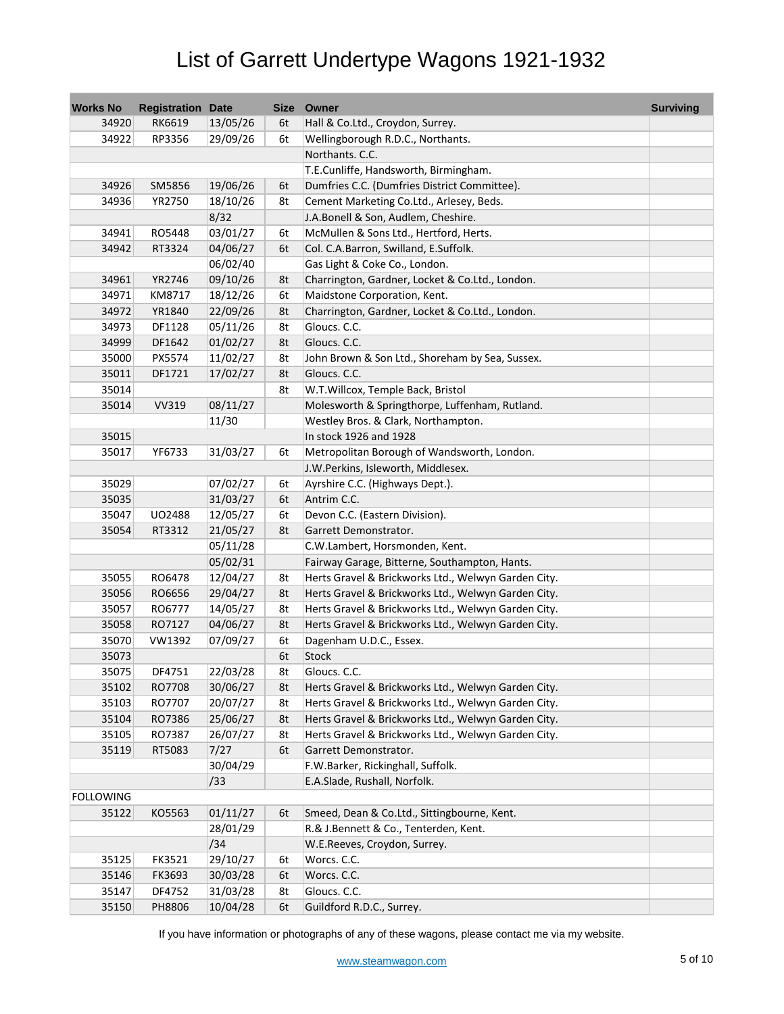| <b>Works No</b>  | <b>Registration Date</b> |          |    | Size Owner                                          | <b>Surviving</b> |
|------------------|--------------------------|----------|----|-----------------------------------------------------|------------------|
| 34920            | RK6619                   | 13/05/26 | 6t | Hall & Co.Ltd., Croydon, Surrey.                    |                  |
| 34922            | RP3356                   | 29/09/26 | 6t | Wellingborough R.D.C., Northants.                   |                  |
|                  |                          |          |    | Northants. C.C.                                     |                  |
|                  |                          |          |    | T.E.Cunliffe, Handsworth, Birmingham.               |                  |
| 34926            | SM5856                   | 19/06/26 | 6t | Dumfries C.C. (Dumfries District Committee).        |                  |
| 34936            | YR2750                   | 18/10/26 | 8t | Cement Marketing Co.Ltd., Arlesey, Beds.            |                  |
|                  |                          | 8/32     |    | J.A.Bonell & Son, Audlem, Cheshire.                 |                  |
| 34941            | RO5448                   | 03/01/27 | 6t | McMullen & Sons Ltd., Hertford, Herts.              |                  |
| 34942            | RT3324                   | 04/06/27 | 6t | Col. C.A.Barron, Swilland, E.Suffolk.               |                  |
|                  |                          | 06/02/40 |    | Gas Light & Coke Co., London.                       |                  |
| 34961            | YR2746                   | 09/10/26 | 8t | Charrington, Gardner, Locket & Co.Ltd., London.     |                  |
| 34971            | KM8717                   | 18/12/26 | 6t | Maidstone Corporation, Kent.                        |                  |
| 34972            | YR1840                   | 22/09/26 | 8t | Charrington, Gardner, Locket & Co.Ltd., London.     |                  |
| 34973            | DF1128                   | 05/11/26 | 8t | Gloucs. C.C.                                        |                  |
| 34999            | DF1642                   | 01/02/27 | 8t | Gloucs. C.C.                                        |                  |
| 35000            | PX5574                   | 11/02/27 | 8t | John Brown & Son Ltd., Shoreham by Sea, Sussex.     |                  |
| 35011            | DF1721                   | 17/02/27 | 8t | Gloucs. C.C.                                        |                  |
| 35014            |                          |          | 8t | W.T.Willcox, Temple Back, Bristol                   |                  |
| 35014            | <b>VV319</b>             | 08/11/27 |    | Molesworth & Springthorpe, Luffenham, Rutland.      |                  |
|                  |                          | 11/30    |    | Westley Bros. & Clark, Northampton.                 |                  |
| 35015            |                          |          |    | In stock 1926 and 1928                              |                  |
| 35017            | YF6733                   | 31/03/27 | 6t | Metropolitan Borough of Wandsworth, London.         |                  |
|                  |                          |          |    | J.W.Perkins, Isleworth, Middlesex.                  |                  |
| 35029            |                          | 07/02/27 | 6t | Ayrshire C.C. (Highways Dept.).                     |                  |
| 35035            |                          | 31/03/27 | 6t | Antrim C.C.                                         |                  |
| 35047            | U02488                   | 12/05/27 | 6t | Devon C.C. (Eastern Division).                      |                  |
| 35054            | RT3312                   | 21/05/27 | 8t | Garrett Demonstrator.                               |                  |
|                  |                          | 05/11/28 |    | C.W.Lambert, Horsmonden, Kent.                      |                  |
|                  |                          | 05/02/31 |    | Fairway Garage, Bitterne, Southampton, Hants.       |                  |
| 35055            | RO6478                   | 12/04/27 | 8t | Herts Gravel & Brickworks Ltd., Welwyn Garden City. |                  |
| 35056            | RO6656                   | 29/04/27 | 8t | Herts Gravel & Brickworks Ltd., Welwyn Garden City. |                  |
| 35057            | RO6777                   | 14/05/27 | 8t | Herts Gravel & Brickworks Ltd., Welwyn Garden City. |                  |
| 35058            | RO7127                   | 04/06/27 | 8t | Herts Gravel & Brickworks Ltd., Welwyn Garden City. |                  |
| 35070            | VW1392                   | 07/09/27 | 6t | Dagenham U.D.C., Essex.                             |                  |
| 35073            |                          |          | 6t | <b>Stock</b>                                        |                  |
| 35075            | DF4751                   | 22/03/28 | 8t | Gloucs. C.C.                                        |                  |
| 35102            | RO7708                   | 30/06/27 | 8t | Herts Gravel & Brickworks Ltd., Welwyn Garden City. |                  |
| 35103            | RO7707                   | 20/07/27 | 8t | Herts Gravel & Brickworks Ltd., Welwyn Garden City. |                  |
| 35104            | RO7386                   | 25/06/27 | 8t | Herts Gravel & Brickworks Ltd., Welwyn Garden City. |                  |
| 35105            | RO7387                   | 26/07/27 | 8t | Herts Gravel & Brickworks Ltd., Welwyn Garden City. |                  |
| 35119            | RT5083                   | 7/27     | 6t | Garrett Demonstrator.                               |                  |
|                  |                          | 30/04/29 |    | F.W.Barker, Rickinghall, Suffolk.                   |                  |
|                  |                          | /33      |    | E.A.Slade, Rushall, Norfolk.                        |                  |
| <b>FOLLOWING</b> |                          |          |    |                                                     |                  |
| 35122            | KO5563                   | 01/11/27 | 6t | Smeed, Dean & Co.Ltd., Sittingbourne, Kent.         |                  |
|                  |                          | 28/01/29 |    | R.& J.Bennett & Co., Tenterden, Kent.               |                  |
|                  |                          | /34      |    | W.E.Reeves, Croydon, Surrey.                        |                  |
| 35125            | FK3521                   | 29/10/27 | 6t | Worcs. C.C.                                         |                  |
| 35146            | FK3693                   | 30/03/28 | 6t | Worcs. C.C.                                         |                  |
| 35147            | DF4752                   | 31/03/28 | 8t | Gloucs. C.C.                                        |                  |
| 35150            | PH8806                   | 10/04/28 | 6t | Guildford R.D.C., Surrey.                           |                  |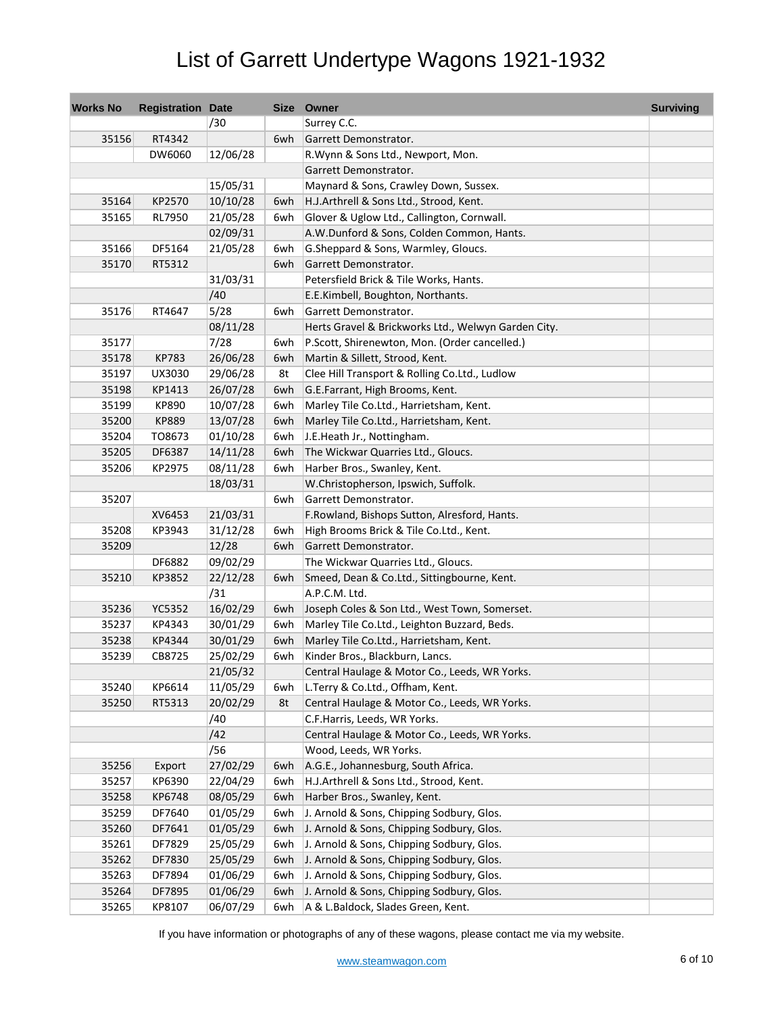| <b>Works No</b> | <b>Registration Date</b> |          |     | Size Owner                                          | <b>Surviving</b> |
|-----------------|--------------------------|----------|-----|-----------------------------------------------------|------------------|
|                 |                          | /30      |     | Surrey C.C.                                         |                  |
| 35156           | RT4342                   |          | 6wh | Garrett Demonstrator.                               |                  |
|                 | DW6060                   | 12/06/28 |     | R. Wynn & Sons Ltd., Newport, Mon.                  |                  |
|                 |                          |          |     | Garrett Demonstrator.                               |                  |
|                 |                          | 15/05/31 |     | Maynard & Sons, Crawley Down, Sussex.               |                  |
| 35164           | KP2570                   | 10/10/28 | 6wh | H.J.Arthrell & Sons Ltd., Strood, Kent.             |                  |
| 35165           | RL7950                   | 21/05/28 | 6wh | Glover & Uglow Ltd., Callington, Cornwall.          |                  |
|                 |                          | 02/09/31 |     | A.W.Dunford & Sons, Colden Common, Hants.           |                  |
| 35166           | DF5164                   | 21/05/28 | 6wh | G. Sheppard & Sons, Warmley, Gloucs.                |                  |
| 35170           | RT5312                   |          | 6wh | Garrett Demonstrator.                               |                  |
|                 |                          | 31/03/31 |     | Petersfield Brick & Tile Works, Hants.              |                  |
|                 |                          | /40      |     | E.E.Kimbell, Boughton, Northants.                   |                  |
| 35176           | RT4647                   | 5/28     | 6wh | Garrett Demonstrator.                               |                  |
|                 |                          | 08/11/28 |     | Herts Gravel & Brickworks Ltd., Welwyn Garden City. |                  |
| 35177           |                          | 7/28     | 6wh | P.Scott, Shirenewton, Mon. (Order cancelled.)       |                  |
| 35178           | <b>KP783</b>             | 26/06/28 | 6wh | Martin & Sillett, Strood, Kent.                     |                  |
| 35197           | UX3030                   | 29/06/28 | 8t  | Clee Hill Transport & Rolling Co.Ltd., Ludlow       |                  |
| 35198           | KP1413                   | 26/07/28 | 6wh | G.E.Farrant, High Brooms, Kent.                     |                  |
| 35199           | KP890                    | 10/07/28 | 6wh | Marley Tile Co.Ltd., Harrietsham, Kent.             |                  |
| 35200           | <b>KP889</b>             | 13/07/28 | 6wh | Marley Tile Co.Ltd., Harrietsham, Kent.             |                  |
| 35204           | T08673                   | 01/10/28 | 6wh | J.E.Heath Jr., Nottingham.                          |                  |
| 35205           | DF6387                   | 14/11/28 | 6wh | The Wickwar Quarries Ltd., Gloucs.                  |                  |
| 35206           | KP2975                   | 08/11/28 | 6wh | Harber Bros., Swanley, Kent.                        |                  |
|                 |                          | 18/03/31 |     | W.Christopherson, Ipswich, Suffolk.                 |                  |
| 35207           |                          |          | 6wh | Garrett Demonstrator.                               |                  |
|                 | XV6453                   | 21/03/31 |     | F.Rowland, Bishops Sutton, Alresford, Hants.        |                  |
| 35208           | KP3943                   | 31/12/28 | 6wh | High Brooms Brick & Tile Co.Ltd., Kent.             |                  |
| 35209           |                          | 12/28    | 6wh | Garrett Demonstrator.                               |                  |
|                 | DF6882                   | 09/02/29 |     | The Wickwar Quarries Ltd., Gloucs.                  |                  |
| 35210           | KP3852                   | 22/12/28 | 6wh | Smeed, Dean & Co.Ltd., Sittingbourne, Kent.         |                  |
|                 |                          | /31      |     | A.P.C.M. Ltd.                                       |                  |
| 35236           | YC5352                   | 16/02/29 | 6wh | Joseph Coles & Son Ltd., West Town, Somerset.       |                  |
| 35237           | KP4343                   | 30/01/29 | 6wh | Marley Tile Co.Ltd., Leighton Buzzard, Beds.        |                  |
| 35238           | KP4344                   | 30/01/29 | 6wh | Marley Tile Co.Ltd., Harrietsham, Kent.             |                  |
| 35239           | CB8725                   | 25/02/29 | 6wh | Kinder Bros., Blackburn, Lancs.                     |                  |
|                 |                          | 21/05/32 |     | Central Haulage & Motor Co., Leeds, WR Yorks.       |                  |
| 35240           | KP6614                   | 11/05/29 | 6wh | L.Terry & Co.Ltd., Offham, Kent.                    |                  |
| 35250           | RT5313                   | 20/02/29 | 8t  | Central Haulage & Motor Co., Leeds, WR Yorks.       |                  |
|                 |                          | /40      |     | C.F.Harris, Leeds, WR Yorks.                        |                  |
|                 |                          | /42      |     | Central Haulage & Motor Co., Leeds, WR Yorks.       |                  |
|                 |                          | /56      |     | Wood, Leeds, WR Yorks.                              |                  |
| 35256           | Export                   | 27/02/29 | 6wh | A.G.E., Johannesburg, South Africa.                 |                  |
| 35257           | KP6390                   | 22/04/29 | 6wh | H.J.Arthrell & Sons Ltd., Strood, Kent.             |                  |
| 35258           | KP6748                   | 08/05/29 | 6wh | Harber Bros., Swanley, Kent.                        |                  |
| 35259           | DF7640                   | 01/05/29 | 6wh | J. Arnold & Sons, Chipping Sodbury, Glos.           |                  |
| 35260           | DF7641                   | 01/05/29 | 6wh | J. Arnold & Sons, Chipping Sodbury, Glos.           |                  |
| 35261           | DF7829                   | 25/05/29 | 6wh | J. Arnold & Sons, Chipping Sodbury, Glos.           |                  |
| 35262           | DF7830                   | 25/05/29 | 6wh | J. Arnold & Sons, Chipping Sodbury, Glos.           |                  |
| 35263           | DF7894                   | 01/06/29 | 6wh | J. Arnold & Sons, Chipping Sodbury, Glos.           |                  |
| 35264           | DF7895                   | 01/06/29 | 6wh | J. Arnold & Sons, Chipping Sodbury, Glos.           |                  |
| 35265           | KP8107                   | 06/07/29 | 6wh | A & L.Baldock, Slades Green, Kent.                  |                  |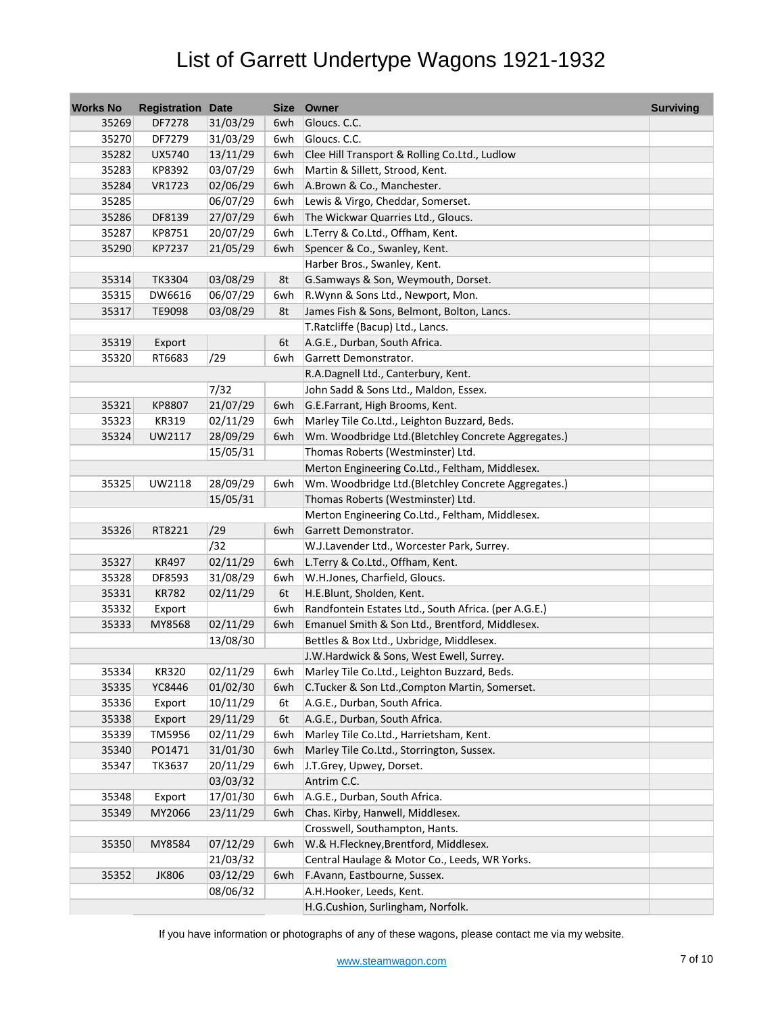| <b>Works No</b> | <b>Registration Date</b> |          | Size | Owner                                                | <b>Surviving</b> |
|-----------------|--------------------------|----------|------|------------------------------------------------------|------------------|
| 35269           | DF7278                   | 31/03/29 | 6wh  | Gloucs. C.C.                                         |                  |
| 35270           | DF7279                   | 31/03/29 | 6wh  | Gloucs. C.C.                                         |                  |
| 35282           | UX5740                   | 13/11/29 | 6wh  | Clee Hill Transport & Rolling Co.Ltd., Ludlow        |                  |
| 35283           | KP8392                   | 03/07/29 | 6wh  | Martin & Sillett, Strood, Kent.                      |                  |
| 35284           | VR1723                   | 02/06/29 | 6wh  | A.Brown & Co., Manchester.                           |                  |
| 35285           |                          | 06/07/29 | 6wh  | Lewis & Virgo, Cheddar, Somerset.                    |                  |
| 35286           | DF8139                   | 27/07/29 | 6wh  | The Wickwar Quarries Ltd., Gloucs.                   |                  |
| 35287           | KP8751                   | 20/07/29 | 6wh  | L.Terry & Co.Ltd., Offham, Kent.                     |                  |
| 35290           | KP7237                   | 21/05/29 | 6wh  | Spencer & Co., Swanley, Kent.                        |                  |
|                 |                          |          |      | Harber Bros., Swanley, Kent.                         |                  |
| 35314           | TK3304                   | 03/08/29 | 8t   | G.Samways & Son, Weymouth, Dorset.                   |                  |
| 35315           | DW6616                   | 06/07/29 | 6wh  | R. Wynn & Sons Ltd., Newport, Mon.                   |                  |
| 35317           | TE9098                   | 03/08/29 | 8t   | James Fish & Sons, Belmont, Bolton, Lancs.           |                  |
|                 |                          |          |      | T.Ratcliffe (Bacup) Ltd., Lancs.                     |                  |
| 35319           | Export                   |          | 6t   | A.G.E., Durban, South Africa.                        |                  |
| 35320           | RT6683                   | /29      | 6wh  | Garrett Demonstrator.                                |                  |
|                 |                          |          |      | R.A.Dagnell Ltd., Canterbury, Kent.                  |                  |
|                 |                          | 7/32     |      | John Sadd & Sons Ltd., Maldon, Essex.                |                  |
| 35321           | KP8807                   | 21/07/29 | 6wh  | G.E.Farrant, High Brooms, Kent.                      |                  |
| 35323           | KR319                    | 02/11/29 | 6wh  | Marley Tile Co.Ltd., Leighton Buzzard, Beds.         |                  |
| 35324           | UW2117                   | 28/09/29 | 6wh  | Wm. Woodbridge Ltd.(Bletchley Concrete Aggregates.)  |                  |
|                 |                          | 15/05/31 |      | Thomas Roberts (Westminster) Ltd.                    |                  |
|                 |                          |          |      | Merton Engineering Co.Ltd., Feltham, Middlesex.      |                  |
| 35325           | UW2118                   | 28/09/29 | 6wh  | Wm. Woodbridge Ltd.(Bletchley Concrete Aggregates.)  |                  |
|                 |                          | 15/05/31 |      | Thomas Roberts (Westminster) Ltd.                    |                  |
|                 |                          |          |      | Merton Engineering Co.Ltd., Feltham, Middlesex.      |                  |
| 35326           | RT8221                   | /29      | 6wh  | Garrett Demonstrator.                                |                  |
|                 |                          | /32      |      | W.J.Lavender Ltd., Worcester Park, Surrey.           |                  |
| 35327           | KR497                    | 02/11/29 | 6wh  | L.Terry & Co.Ltd., Offham, Kent.                     |                  |
| 35328           | DF8593                   | 31/08/29 | 6wh  | W.H.Jones, Charfield, Gloucs.                        |                  |
| 35331           | <b>KR782</b>             | 02/11/29 | 6t   | H.E.Blunt, Sholden, Kent.                            |                  |
| 35332           | Export                   |          | 6wh  | Randfontein Estates Ltd., South Africa. (per A.G.E.) |                  |
| 35333           | MY8568                   | 02/11/29 | 6wh  | Emanuel Smith & Son Ltd., Brentford, Middlesex.      |                  |
|                 |                          | 13/08/30 |      | Bettles & Box Ltd., Uxbridge, Middlesex.             |                  |
|                 |                          |          |      | J.W.Hardwick & Sons, West Ewell, Surrey.             |                  |
| 35334           | <b>KR320</b>             | 02/11/29 | 6wh  | Marley Tile Co.Ltd., Leighton Buzzard, Beds.         |                  |
| 35335           | YC8446                   | 01/02/30 | 6wh  | C.Tucker & Son Ltd., Compton Martin, Somerset.       |                  |
| 35336           | Export                   | 10/11/29 | 6t   | A.G.E., Durban, South Africa.                        |                  |
| 35338           | Export                   | 29/11/29 | 6t   | A.G.E., Durban, South Africa.                        |                  |
| 35339           | TM5956                   | 02/11/29 | 6wh  | Marley Tile Co.Ltd., Harrietsham, Kent.              |                  |
| 35340           | PO1471                   | 31/01/30 | 6wh  | Marley Tile Co.Ltd., Storrington, Sussex.            |                  |
| 35347           | TK3637                   | 20/11/29 | 6wh  | J.T.Grey, Upwey, Dorset.                             |                  |
|                 |                          |          |      |                                                      |                  |
|                 |                          | 03/03/32 |      | Antrim C.C.                                          |                  |
| 35348           | Export                   | 17/01/30 | 6wh  | A.G.E., Durban, South Africa.                        |                  |
| 35349           | MY2066                   | 23/11/29 | 6wh  | Chas. Kirby, Hanwell, Middlesex.                     |                  |
|                 |                          |          |      | Crosswell, Southampton, Hants.                       |                  |
| 35350           | MY8584                   | 07/12/29 | 6wh  | W.& H.Fleckney, Brentford, Middlesex.                |                  |
|                 |                          | 21/03/32 |      | Central Haulage & Motor Co., Leeds, WR Yorks.        |                  |
| 35352           | <b>JK806</b>             | 03/12/29 | 6wh  | F.Avann, Eastbourne, Sussex.                         |                  |
|                 |                          | 08/06/32 |      | A.H.Hooker, Leeds, Kent.                             |                  |
|                 |                          |          |      | H.G.Cushion, Surlingham, Norfolk.                    |                  |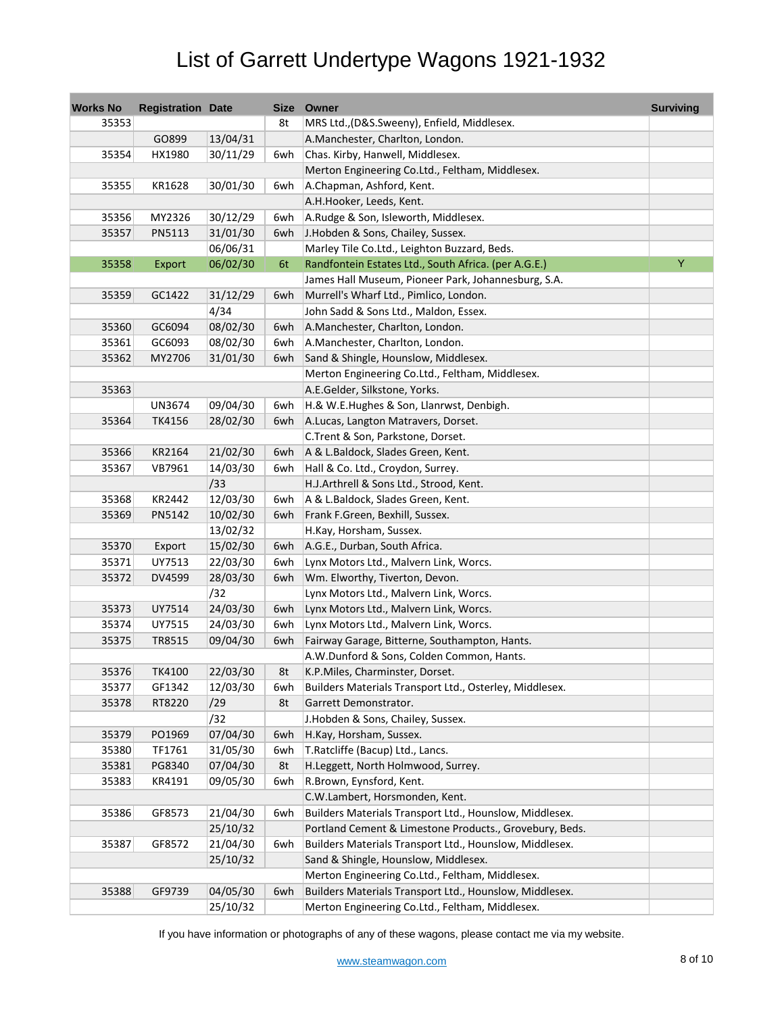| <b>Works No</b> | <b>Registration Date</b> |          |     | Size Owner                                              | <b>Surviving</b> |
|-----------------|--------------------------|----------|-----|---------------------------------------------------------|------------------|
| 35353           |                          |          | 8t  | MRS Ltd., (D&S.Sweeny), Enfield, Middlesex.             |                  |
|                 | GO899                    | 13/04/31 |     | A.Manchester, Charlton, London.                         |                  |
| 35354           | HX1980                   | 30/11/29 | 6wh | Chas. Kirby, Hanwell, Middlesex.                        |                  |
|                 |                          |          |     | Merton Engineering Co.Ltd., Feltham, Middlesex.         |                  |
| 35355           | KR1628                   | 30/01/30 | 6wh | A.Chapman, Ashford, Kent.                               |                  |
|                 |                          |          |     | A.H.Hooker, Leeds, Kent.                                |                  |
| 35356           | MY2326                   | 30/12/29 | 6wh | A.Rudge & Son, Isleworth, Middlesex.                    |                  |
| 35357           | PN5113                   | 31/01/30 | 6wh | J.Hobden & Sons, Chailey, Sussex.                       |                  |
|                 |                          | 06/06/31 |     | Marley Tile Co.Ltd., Leighton Buzzard, Beds.            |                  |
| 35358           | Export                   | 06/02/30 | 6t  | Randfontein Estates Ltd., South Africa. (per A.G.E.)    | Y                |
|                 |                          |          |     | James Hall Museum, Pioneer Park, Johannesburg, S.A.     |                  |
| 35359           | GC1422                   | 31/12/29 | 6wh | Murrell's Wharf Ltd., Pimlico, London.                  |                  |
|                 |                          | 4/34     |     | John Sadd & Sons Ltd., Maldon, Essex.                   |                  |
| 35360           | GC6094                   | 08/02/30 | 6wh | A.Manchester, Charlton, London.                         |                  |
| 35361           | GC6093                   | 08/02/30 | 6wh | A.Manchester, Charlton, London.                         |                  |
| 35362           | MY2706                   | 31/01/30 | 6wh | Sand & Shingle, Hounslow, Middlesex.                    |                  |
|                 |                          |          |     | Merton Engineering Co.Ltd., Feltham, Middlesex.         |                  |
| 35363           |                          |          |     | A.E.Gelder, Silkstone, Yorks.                           |                  |
|                 | <b>UN3674</b>            | 09/04/30 | 6wh | H.& W.E.Hughes & Son, Llanrwst, Denbigh.                |                  |
| 35364           | TK4156                   | 28/02/30 | 6wh | A.Lucas, Langton Matravers, Dorset.                     |                  |
|                 |                          |          |     | C.Trent & Son, Parkstone, Dorset.                       |                  |
| 35366           | KR2164                   | 21/02/30 | 6wh | A & L.Baldock, Slades Green, Kent.                      |                  |
| 35367           | VB7961                   | 14/03/30 | 6wh | Hall & Co. Ltd., Croydon, Surrey.                       |                  |
|                 |                          | /33      |     | H.J.Arthrell & Sons Ltd., Strood, Kent.                 |                  |
| 35368           | KR2442                   | 12/03/30 | 6wh | A & L.Baldock, Slades Green, Kent.                      |                  |
| 35369           | PN5142                   | 10/02/30 | 6wh | Frank F.Green, Bexhill, Sussex.                         |                  |
|                 |                          | 13/02/32 |     | H.Kay, Horsham, Sussex.                                 |                  |
| 35370           | Export                   | 15/02/30 | 6wh | A.G.E., Durban, South Africa.                           |                  |
| 35371           | UY7513                   | 22/03/30 | 6wh | Lynx Motors Ltd., Malvern Link, Worcs.                  |                  |
| 35372           | DV4599                   | 28/03/30 | 6wh | Wm. Elworthy, Tiverton, Devon.                          |                  |
|                 |                          | /32      |     | Lynx Motors Ltd., Malvern Link, Worcs.                  |                  |
| 35373           | UY7514                   | 24/03/30 | 6wh | Lynx Motors Ltd., Malvern Link, Worcs.                  |                  |
| 35374           | UY7515                   | 24/03/30 | 6wh | Lynx Motors Ltd., Malvern Link, Worcs.                  |                  |
| 35375           | TR8515                   | 09/04/30 | 6wh | Fairway Garage, Bitterne, Southampton, Hants.           |                  |
|                 |                          |          |     | A.W.Dunford & Sons, Colden Common, Hants.               |                  |
| 35376           | TK4100                   | 22/03/30 | 8t  | K.P.Miles, Charminster, Dorset.                         |                  |
| 35377           | GF1342                   | 12/03/30 | 6wh | Builders Materials Transport Ltd., Osterley, Middlesex. |                  |
| 35378           | RT8220                   | /29      | 8t  | Garrett Demonstrator.                                   |                  |
|                 |                          | /32      |     | J.Hobden & Sons, Chailey, Sussex.                       |                  |
| 35379           | PO1969                   | 07/04/30 | 6wh | H.Kay, Horsham, Sussex.                                 |                  |
| 35380           | TF1761                   | 31/05/30 | 6wh | T.Ratcliffe (Bacup) Ltd., Lancs.                        |                  |
| 35381           | PG8340                   | 07/04/30 | 8t  | H.Leggett, North Holmwood, Surrey.                      |                  |
| 35383           | KR4191                   | 09/05/30 | 6wh | R.Brown, Eynsford, Kent.                                |                  |
|                 |                          |          |     | C.W.Lambert, Horsmonden, Kent.                          |                  |
| 35386           | GF8573                   | 21/04/30 | 6wh | Builders Materials Transport Ltd., Hounslow, Middlesex. |                  |
|                 |                          | 25/10/32 |     | Portland Cement & Limestone Products., Grovebury, Beds. |                  |
| 35387           | GF8572                   | 21/04/30 | 6wh | Builders Materials Transport Ltd., Hounslow, Middlesex. |                  |
|                 |                          | 25/10/32 |     | Sand & Shingle, Hounslow, Middlesex.                    |                  |
|                 |                          |          |     | Merton Engineering Co.Ltd., Feltham, Middlesex.         |                  |
| 35388           | GF9739                   | 04/05/30 | 6wh | Builders Materials Transport Ltd., Hounslow, Middlesex. |                  |
|                 |                          | 25/10/32 |     | Merton Engineering Co.Ltd., Feltham, Middlesex.         |                  |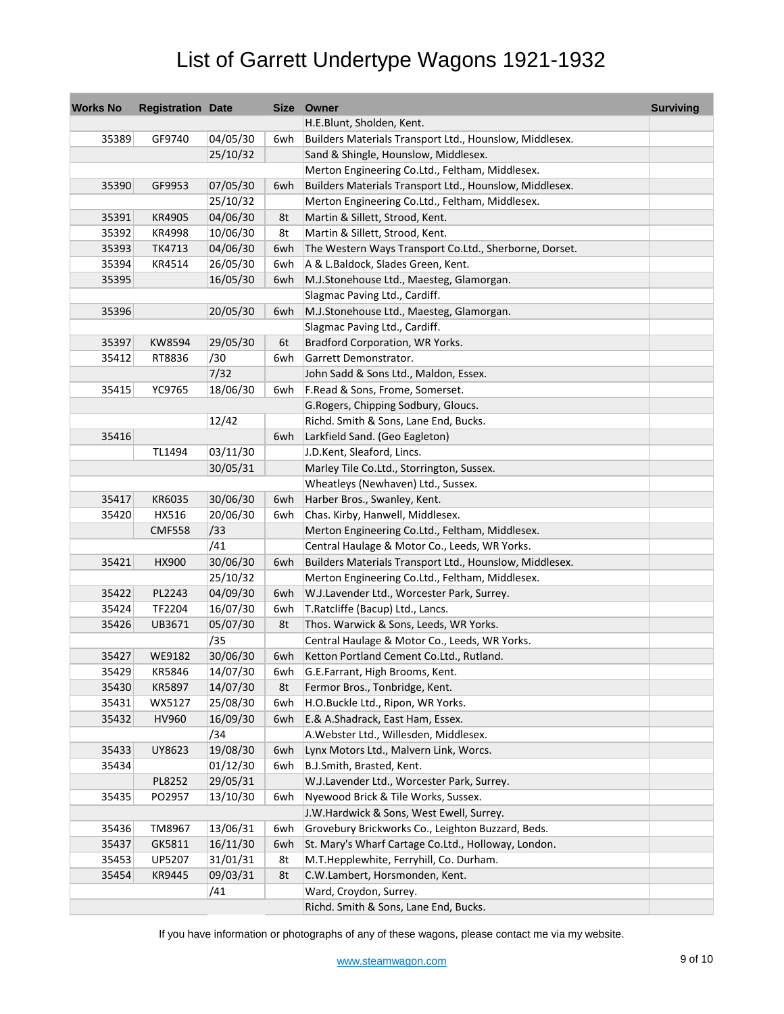| <b>Works No</b> | <b>Registration Date</b> |          |     | Size Owner                                              | <b>Surviving</b> |
|-----------------|--------------------------|----------|-----|---------------------------------------------------------|------------------|
|                 |                          |          |     | H.E.Blunt, Sholden, Kent.                               |                  |
| 35389           | GF9740                   | 04/05/30 | 6wh | Builders Materials Transport Ltd., Hounslow, Middlesex. |                  |
|                 |                          | 25/10/32 |     | Sand & Shingle, Hounslow, Middlesex.                    |                  |
|                 |                          |          |     | Merton Engineering Co.Ltd., Feltham, Middlesex.         |                  |
| 35390           | GF9953                   | 07/05/30 | 6wh | Builders Materials Transport Ltd., Hounslow, Middlesex. |                  |
|                 |                          | 25/10/32 |     | Merton Engineering Co.Ltd., Feltham, Middlesex.         |                  |
| 35391           | KR4905                   | 04/06/30 | 8t  | Martin & Sillett, Strood, Kent.                         |                  |
| 35392           | KR4998                   | 10/06/30 | 8t  | Martin & Sillett, Strood, Kent.                         |                  |
| 35393           | TK4713                   | 04/06/30 | 6wh | The Western Ways Transport Co.Ltd., Sherborne, Dorset.  |                  |
| 35394           | KR4514                   | 26/05/30 | 6wh | A & L.Baldock, Slades Green, Kent.                      |                  |
| 35395           |                          | 16/05/30 | 6wh | M.J.Stonehouse Ltd., Maesteg, Glamorgan.                |                  |
|                 |                          |          |     | Slagmac Paving Ltd., Cardiff.                           |                  |
| 35396           |                          | 20/05/30 | 6wh | M.J.Stonehouse Ltd., Maesteg, Glamorgan.                |                  |
|                 |                          |          |     | Slagmac Paving Ltd., Cardiff.                           |                  |
| 35397           | KW8594                   | 29/05/30 | 6t  | Bradford Corporation, WR Yorks.                         |                  |
| 35412           | RT8836                   | /30      | 6wh | Garrett Demonstrator.                                   |                  |
|                 |                          | 7/32     |     | John Sadd & Sons Ltd., Maldon, Essex.                   |                  |
| 35415           | YC9765                   | 18/06/30 | 6wh | F.Read & Sons, Frome, Somerset.                         |                  |
|                 |                          |          |     | G.Rogers, Chipping Sodbury, Gloucs.                     |                  |
|                 |                          | 12/42    |     | Richd. Smith & Sons, Lane End, Bucks.                   |                  |
| 35416           |                          |          | 6wh | Larkfield Sand. (Geo Eagleton)                          |                  |
|                 | TL1494                   | 03/11/30 |     | J.D.Kent, Sleaford, Lincs.                              |                  |
|                 |                          | 30/05/31 |     | Marley Tile Co.Ltd., Storrington, Sussex.               |                  |
|                 |                          |          |     | Wheatleys (Newhaven) Ltd., Sussex.                      |                  |
| 35417           | KR6035                   | 30/06/30 | 6wh | Harber Bros., Swanley, Kent.                            |                  |
| 35420           | HX516                    | 20/06/30 | 6wh | Chas. Kirby, Hanwell, Middlesex.                        |                  |
|                 | <b>CMF558</b>            | /33      |     | Merton Engineering Co.Ltd., Feltham, Middlesex.         |                  |
|                 |                          | /41      |     | Central Haulage & Motor Co., Leeds, WR Yorks.           |                  |
|                 |                          |          |     |                                                         |                  |
| 35421           | HX900                    | 30/06/30 | 6wh | Builders Materials Transport Ltd., Hounslow, Middlesex. |                  |
| 35422           | PL2243                   | 25/10/32 |     | Merton Engineering Co.Ltd., Feltham, Middlesex.         |                  |
|                 |                          | 04/09/30 | 6wh | W.J.Lavender Ltd., Worcester Park, Surrey.              |                  |
| 35424           | TF2204                   | 16/07/30 | 6wh | T.Ratcliffe (Bacup) Ltd., Lancs.                        |                  |
| 35426           | UB3671                   | 05/07/30 | 8t  | Thos. Warwick & Sons, Leeds, WR Yorks.                  |                  |
|                 |                          | /35      |     | Central Haulage & Motor Co., Leeds, WR Yorks.           |                  |
| 35427           | WE9182                   | 30/06/30 | 6wh | Ketton Portland Cement Co.Ltd., Rutland.                |                  |
| 35429           | KR5846                   | 14/07/30 | 6wh | G.E.Farrant, High Brooms, Kent.                         |                  |
| 35430           | KR5897                   | 14/07/30 | 8t  | Fermor Bros., Tonbridge, Kent.                          |                  |
| 35431           | WX5127                   | 25/08/30 | 6wh | H.O.Buckle Ltd., Ripon, WR Yorks.                       |                  |
| 35432           | HV960                    | 16/09/30 | 6wh | E.& A.Shadrack, East Ham, Essex.                        |                  |
|                 |                          | /34      |     | A. Webster Ltd., Willesden, Middlesex.                  |                  |
| 35433           | UY8623                   | 19/08/30 | 6wh | Lynx Motors Ltd., Malvern Link, Worcs.                  |                  |
| 35434           |                          | 01/12/30 | 6wh | B.J.Smith, Brasted, Kent.                               |                  |
|                 | PL8252                   | 29/05/31 |     | W.J.Lavender Ltd., Worcester Park, Surrey.              |                  |
| 35435           | PO2957                   | 13/10/30 | 6wh | Nyewood Brick & Tile Works, Sussex.                     |                  |
|                 |                          |          |     | J.W.Hardwick & Sons, West Ewell, Surrey.                |                  |
| 35436           | TM8967                   | 13/06/31 | 6wh | Grovebury Brickworks Co., Leighton Buzzard, Beds.       |                  |
| 35437           | GK5811                   | 16/11/30 | 6wh | St. Mary's Wharf Cartage Co.Ltd., Holloway, London.     |                  |
| 35453           | UP5207                   | 31/01/31 | 8t  | M.T.Hepplewhite, Ferryhill, Co. Durham.                 |                  |
| 35454           | KR9445                   | 09/03/31 | 8t  | C.W.Lambert, Horsmonden, Kent.                          |                  |
|                 |                          | /41      |     | Ward, Croydon, Surrey.                                  |                  |
|                 |                          |          |     | Richd. Smith & Sons, Lane End, Bucks.                   |                  |